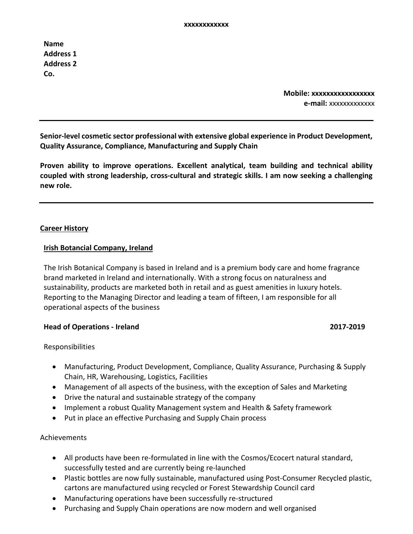**Name Address 1 Address 2 Co.** 

> **Mobile: xxxxxxxxxxxxxxxxx e-mail:** xxxxxxxxxxxxx

**Senior-level cosmetic sector professional with extensive global experience in Product Development, Quality Assurance, Compliance, Manufacturing and Supply Chain**

**Proven ability to improve operations. Excellent analytical, team building and technical ability coupled with strong leadership, cross-cultural and strategic skills. I am now seeking a challenging new role.**

# **Career History**

### **Irish Botancial Company, Ireland**

The Irish Botanical Company is based in Ireland and is a premium body care and home fragrance brand marketed in Ireland and internationally. With a strong focus on naturalness and sustainability, products are marketed both in retail and as guest amenities in luxury hotels. Reporting to the Managing Director and leading a team of fifteen, I am responsible for all operational aspects of the business

### **Head of Operations - Ireland 2017-2019**

Responsibilities

- Manufacturing, Product Development, Compliance, Quality Assurance, Purchasing & Supply Chain, HR, Warehousing, Logistics, Facilities
- Management of all aspects of the business, with the exception of Sales and Marketing
- Drive the natural and sustainable strategy of the company
- Implement a robust Quality Management system and Health & Safety framework
- Put in place an effective Purchasing and Supply Chain process

- All products have been re-formulated in line with the Cosmos/Ecocert natural standard, successfully tested and are currently being re-launched
- Plastic bottles are now fully sustainable, manufactured using Post-Consumer Recycled plastic, cartons are manufactured using recycled or Forest Stewardship Council card
- Manufacturing operations have been successfully re-structured
- Purchasing and Supply Chain operations are now modern and well organised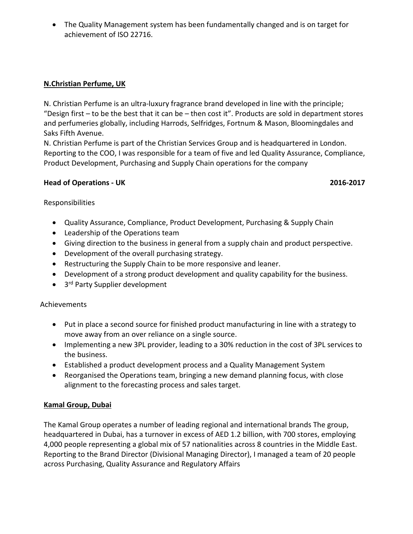• The Quality Management system has been fundamentally changed and is on target for achievement of ISO 22716.

# **N.Christian Perfume, UK**

N. Christian Perfume is an ultra-luxury fragrance brand developed in line with the principle; "Design first – to be the best that it can be – then cost it". Products are sold in department stores and perfumeries globally, including Harrods, Selfridges, Fortnum & Mason, Bloomingdales and Saks Fifth Avenue.

N. Christian Perfume is part of the Christian Services Group and is headquartered in London. Reporting to the COO, I was responsible for a team of five and led Quality Assurance, Compliance, Product Development, Purchasing and Supply Chain operations for the company

# **Head of Operations - UK 2016-2017**

Responsibilities

- Quality Assurance, Compliance, Product Development, Purchasing & Supply Chain
- Leadership of the Operations team
- Giving direction to the business in general from a supply chain and product perspective.
- Development of the overall purchasing strategy.
- Restructuring the Supply Chain to be more responsive and leaner.
- Development of a strong product development and quality capability for the business.
- $\bullet$  3<sup>rd</sup> Party Supplier development

# Achievements

- Put in place a second source for finished product manufacturing in line with a strategy to move away from an over reliance on a single source.
- Implementing a new 3PL provider, leading to a 30% reduction in the cost of 3PL services to the business.
- Established a product development process and a Quality Management System
- Reorganised the Operations team, bringing a new demand planning focus, with close alignment to the forecasting process and sales target.

# **Kamal Group, Dubai**

The Kamal Group operates a number of leading regional and international brands The group, headquartered in Dubai, has a turnover in excess of AED 1.2 billion, with 700 stores, employing 4,000 people representing a global mix of 57 nationalities across 8 countries in the Middle East. Reporting to the Brand Director (Divisional Managing Director), I managed a team of 20 people across Purchasing, Quality Assurance and Regulatory Affairs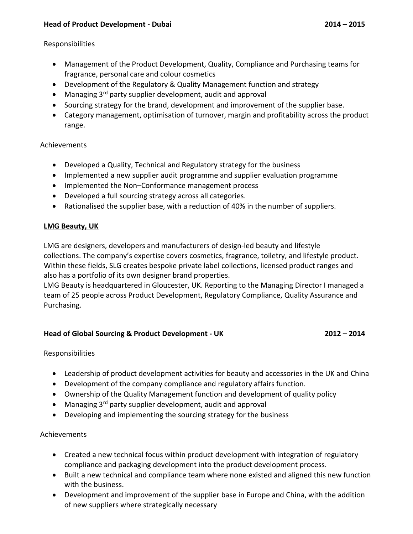# **Head of Product Development - Dubai 2014 – 2015**

## Responsibilities

- Management of the Product Development, Quality, Compliance and Purchasing teams for fragrance, personal care and colour cosmetics
- Development of the Regulatory & Quality Management function and strategy
- Managing 3<sup>rd</sup> party supplier development, audit and approval
- Sourcing strategy for the brand, development and improvement of the supplier base.
- Category management, optimisation of turnover, margin and profitability across the product range.

# Achievements

- Developed a Quality, Technical and Regulatory strategy for the business
- Implemented a new supplier audit programme and supplier evaluation programme
- Implemented the Non–Conformance management process
- Developed a full sourcing strategy across all categories.
- Rationalised the supplier base, with a reduction of 40% in the number of suppliers.

# **LMG Beauty, UK**

LMG are designers, developers and manufacturers of design-led beauty and lifestyle collections. The company's expertise covers cosmetics, fragrance, toiletry, and lifestyle product. Within these fields, SLG creates bespoke private label collections, licensed product ranges and also has a portfolio of its own designer brand properties.

LMG Beauty is headquartered in Gloucester, UK. Reporting to the Managing Director I managed a team of 25 people across Product Development, Regulatory Compliance, Quality Assurance and Purchasing.

# **Head of Global Sourcing & Product Development - UK 2012 – 2014**

# Responsibilities

- Leadership of product development activities for beauty and accessories in the UK and China
- Development of the company compliance and regulatory affairs function.
- Ownership of the Quality Management function and development of quality policy
- Managing  $3<sup>rd</sup>$  party supplier development, audit and approval
- Developing and implementing the sourcing strategy for the business

- Created a new technical focus within product development with integration of regulatory compliance and packaging development into the product development process.
- Built a new technical and compliance team where none existed and aligned this new function with the business.
- Development and improvement of the supplier base in Europe and China, with the addition of new suppliers where strategically necessary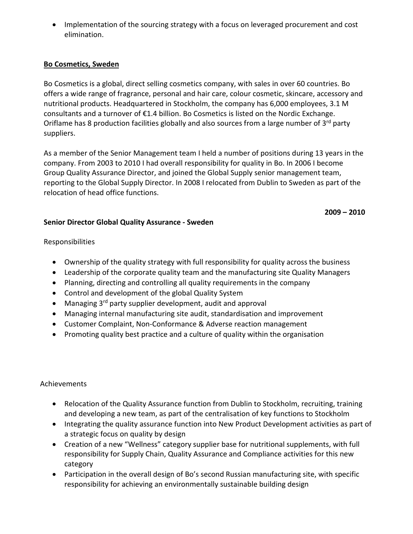• Implementation of the sourcing strategy with a focus on leveraged procurement and cost elimination.

# **Bo Cosmetics, Sweden**

Bo Cosmetics is a global, direct selling cosmetics company, with sales in over 60 countries. Bo offers a wide range of fragrance, personal and hair care, colour cosmetic, skincare, accessory and nutritional products. Headquartered in Stockholm, the company has 6,000 employees, 3.1 M consultants and a turnover of €1.4 billion. Bo Cosmetics is listed on the Nordic Exchange. Oriflame has 8 production facilities globally and also sources from a large number of 3<sup>rd</sup> party suppliers.

As a member of the Senior Management team I held a number of positions during 13 years in the company. From 2003 to 2010 I had overall responsibility for quality in Bo. In 2006 I become Group Quality Assurance Director, and joined the Global Supply senior management team, reporting to the Global Supply Director. In 2008 I relocated from Dublin to Sweden as part of the relocation of head office functions.

 **2009 – 2010**

# **Senior Director Global Quality Assurance - Sweden**

# Responsibilities

- Ownership of the quality strategy with full responsibility for quality across the business
- Leadership of the corporate quality team and the manufacturing site Quality Managers
- Planning, directing and controlling all quality requirements in the company
- Control and development of the global Quality System
- Managing 3<sup>rd</sup> party supplier development, audit and approval
- Managing internal manufacturing site audit, standardisation and improvement
- Customer Complaint, Non-Conformance & Adverse reaction management
- Promoting quality best practice and a culture of quality within the organisation

- Relocation of the Quality Assurance function from Dublin to Stockholm, recruiting, training and developing a new team, as part of the centralisation of key functions to Stockholm
- Integrating the quality assurance function into New Product Development activities as part of a strategic focus on quality by design
- Creation of a new "Wellness" category supplier base for nutritional supplements, with full responsibility for Supply Chain, Quality Assurance and Compliance activities for this new category
- Participation in the overall design of Bo's second Russian manufacturing site, with specific responsibility for achieving an environmentally sustainable building design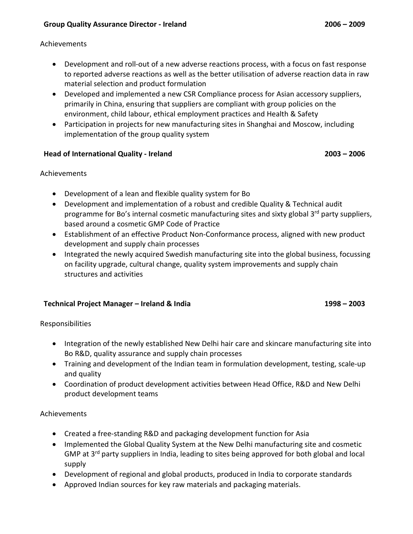### Achievements

- Development and roll-out of a new adverse reactions process, with a focus on fast response to reported adverse reactions as well as the better utilisation of adverse reaction data in raw material selection and product formulation
- Developed and implemented a new CSR Compliance process for Asian accessory suppliers, primarily in China, ensuring that suppliers are compliant with group policies on the environment, child labour, ethical employment practices and Health & Safety
- Participation in projects for new manufacturing sites in Shanghai and Moscow, including implementation of the group quality system

# **Head of International Quality - Ireland 2003 – 2006**

# Achievements

- Development of a lean and flexible quality system for Bo
- Development and implementation of a robust and credible Quality & Technical audit programme for Bo's internal cosmetic manufacturing sites and sixty global  $3^{rd}$  party suppliers, based around a cosmetic GMP Code of Practice
- Establishment of an effective Product Non-Conformance process, aligned with new product development and supply chain processes
- Integrated the newly acquired Swedish manufacturing site into the global business, focussing on facility upgrade, cultural change, quality system improvements and supply chain structures and activities

# **Technical Project Manager – Ireland & India 1998 – 2003**

# Responsibilities

- Integration of the newly established New Delhi hair care and skincare manufacturing site into Bo R&D, quality assurance and supply chain processes
- Training and development of the Indian team in formulation development, testing, scale-up and quality
- Coordination of product development activities between Head Office, R&D and New Delhi product development teams

- Created a free-standing R&D and packaging development function for Asia
- Implemented the Global Quality System at the New Delhi manufacturing site and cosmetic GMP at 3<sup>rd</sup> party suppliers in India, leading to sites being approved for both global and local supply
- Development of regional and global products, produced in India to corporate standards
- Approved Indian sources for key raw materials and packaging materials.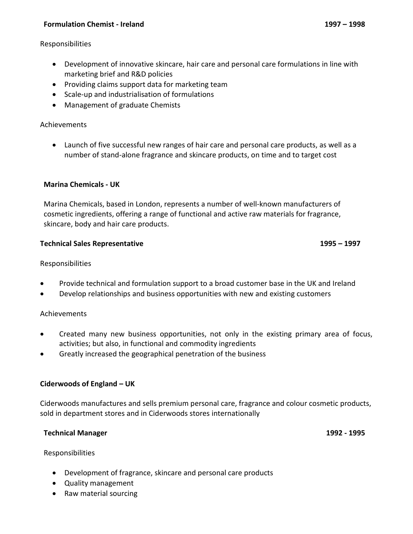# **Formulation Chemist - Ireland 1997 – 1998**

### Responsibilities

- Development of innovative skincare, hair care and personal care formulations in line with marketing brief and R&D policies
- Providing claims support data for marketing team
- Scale-up and industrialisation of formulations
- Management of graduate Chemists

# Achievements

• Launch of five successful new ranges of hair care and personal care products, as well as a number of stand-alone fragrance and skincare products, on time and to target cost

# **Marina Chemicals - UK**

Marina Chemicals, based in London, represents a number of well-known manufacturers of cosmetic ingredients, offering a range of functional and active raw materials for fragrance, skincare, body and hair care products.

### **Technical Sales Representative 1995 – 1997**

# Responsibilities

- Provide technical and formulation support to a broad customer base in the UK and Ireland
- Develop relationships and business opportunities with new and existing customers

# Achievements

- Created many new business opportunities, not only in the existing primary area of focus, activities; but also, in functional and commodity ingredients
- Greatly increased the geographical penetration of the business

# **Ciderwoods of England – UK**

Ciderwoods manufactures and sells premium personal care, fragrance and colour cosmetic products, sold in department stores and in Ciderwoods stores internationally

# **Technical Manager 1992 - 1995**

Responsibilities

- Development of fragrance, skincare and personal care products
- Quality management
- Raw material sourcing